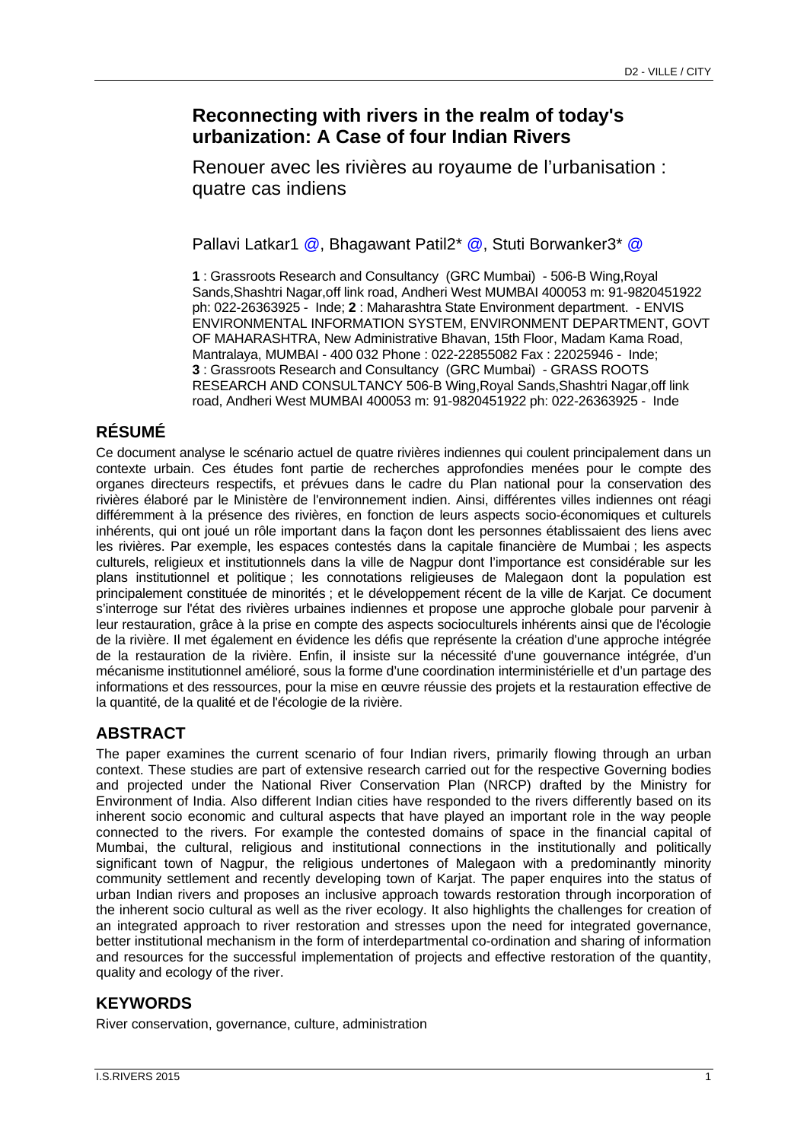# **Reconnecting with rivers in the realm of today's urbanization: A Case of four Indian Rivers**

Renouer avec les rivières au royaume de l'urbanisation : quatre cas indiens

Pallavi Latkar1 @, Bhagawant Patil2<sup>\*</sup> @, Stuti Borwanker3<sup>\*</sup> @

**1** : Grassroots Research and Consultancy (GRC Mumbai) - 506-B Wing,Royal Sands,Shashtri Nagar,off link road, Andheri West MUMBAI 400053 m: 91-9820451922 ph: 022-26363925 - Inde; **2** : Maharashtra State Environment department. - ENVIS ENVIRONMENTAL INFORMATION SYSTEM, ENVIRONMENT DEPARTMENT, GOVT OF MAHARASHTRA, New Administrative Bhavan, 15th Floor, Madam Kama Road, Mantralaya, MUMBAI - 400 032 Phone : 022-22855082 Fax : 22025946 - Inde; **3** : Grassroots Research and Consultancy (GRC Mumbai) - GRASS ROOTS RESEARCH AND CONSULTANCY 506-B Wing,Royal Sands,Shashtri Nagar,off link road, Andheri West MUMBAI 400053 m: 91-9820451922 ph: 022-26363925 - Inde

# **RÉSUMÉ**

Ce document analyse le scénario actuel de quatre rivières indiennes qui coulent principalement dans un contexte urbain. Ces études font partie de recherches approfondies menées pour le compte des organes directeurs respectifs, et prévues dans le cadre du Plan national pour la conservation des rivières élaboré par le Ministère de l'environnement indien. Ainsi, différentes villes indiennes ont réagi différemment à la présence des rivières, en fonction de leurs aspects socio-économiques et culturels inhérents, qui ont joué un rôle important dans la façon dont les personnes établissaient des liens avec les rivières. Par exemple, les espaces contestés dans la capitale financière de Mumbai ; les aspects culturels, religieux et institutionnels dans la ville de Nagpur dont l'importance est considérable sur les plans institutionnel et politique ; les connotations religieuses de Malegaon dont la population est principalement constituée de minorités ; et le développement récent de la ville de Karjat. Ce document s'interroge sur l'état des rivières urbaines indiennes et propose une approche globale pour parvenir à leur restauration, grâce à la prise en compte des aspects socioculturels inhérents ainsi que de l'écologie de la rivière. Il met également en évidence les défis que représente la création d'une approche intégrée de la restauration de la rivière. Enfin, il insiste sur la nécessité d'une gouvernance intégrée, d'un mécanisme institutionnel amélioré, sous la forme d'une coordination interministérielle et d'un partage des informations et des ressources, pour la mise en œuvre réussie des projets et la restauration effective de la quantité, de la qualité et de l'écologie de la rivière.

## **ABSTRACT**

The paper examines the current scenario of four Indian rivers, primarily flowing through an urban context. These studies are part of extensive research carried out for the respective Governing bodies and projected under the National River Conservation Plan (NRCP) drafted by the Ministry for Environment of India. Also different Indian cities have responded to the rivers differently based on its inherent socio economic and cultural aspects that have played an important role in the way people connected to the rivers. For example the contested domains of space in the financial capital of Mumbai, the cultural, religious and institutional connections in the institutionally and politically significant town of Nagpur, the religious undertones of Malegaon with a predominantly minority community settlement and recently developing town of Karjat. The paper enquires into the status of urban Indian rivers and proposes an inclusive approach towards restoration through incorporation of the inherent socio cultural as well as the river ecology. It also highlights the challenges for creation of an integrated approach to river restoration and stresses upon the need for integrated governance, better institutional mechanism in the form of interdepartmental co-ordination and sharing of information and resources for the successful implementation of projects and effective restoration of the quantity, quality and ecology of the river.

### **KEYWORDS**

River conservation, governance, culture, administration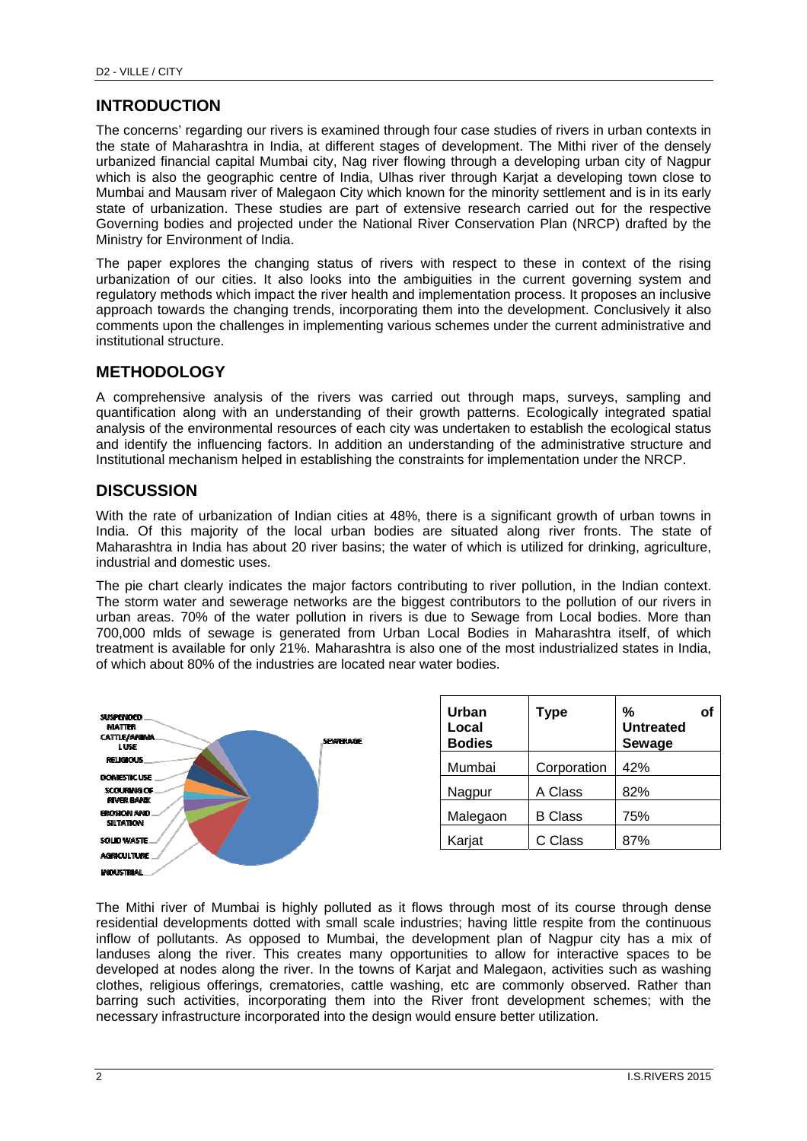### **INTRODUCTION**

The concerns' regarding our rivers is examined through four case studies of rivers in urban contexts in the state of Maharashtra in India, at different stages of development. The Mithi river of the densely urbanized financial capital Mumbai city, Nag river flowing through a developing urban city of Nagpur which is also the geographic centre of India. Ulhas river through Kariat a developing town close to Mumbai and Mausam river of Malegaon City which known for the minority settlement and is in its early state of urbanization. These studies are part of extensive research carried out for the respective Governing bodies and projected under the National River Conservation Plan (NRCP) drafted by the Ministry for Environment of India.

The paper explores the changing status of rivers with respect to these in context of the rising urbanization of our cities. It also looks into the ambiguities in the current governing system and regulatory methods which impact the river health and implementation process. It proposes an inclusive approach towards the changing trends, incorporating them into the development. Conclusively it also comments upon the challenges in implementing various schemes under the current administrative and institutional structure.

### **METHODOLOGY**

A comprehensive analysis of the rivers was carried out through maps, surveys, sampling and quantification along with an understanding of their growth patterns. Ecologically integrated spatial analysis of the environmental resources of each city was undertaken to establish the ecological status and identify the influencing factors. In addition an understanding of the administrative structure and Institutional mechanism helped in establishing the constraints for implementation under the NRCP.

### **DISCUSSION**

With the rate of urbanization of Indian cities at 48%, there is a significant growth of urban towns in India. Of this majority of the local urban bodies are situated along river fronts. The state of Maharashtra in India has about 20 river basins; the water of which is utilized for drinking, agriculture, industrial and domestic uses.

The pie chart clearly indicates the major factors contributing to river pollution, in the Indian context. The storm water and sewerage networks are the biggest contributors to the pollution of our rivers in urban areas. 70% of the water pollution in rivers is due to Sewage from Local bodies. More than 700,000 mlds of sewage is generated from Urban Local Bodies in Maharashtra itself, of which treatment is available for only 21%. Maharashtra is also one of the most industrialized states in India, of which about 80% of the industries are located near water bodies.



The Mithi river of Mumbai is highly polluted as it flows through most of its course through dense residential developments dotted with small scale industries; having little respite from the continuous inflow of pollutants. As opposed to Mumbai, the development plan of Nagpur city has a mix of landuses along the river. This creates many opportunities to allow for interactive spaces to be developed at nodes along the river. In the towns of Karjat and Malegaon, activities such as washing clothes, religious offerings, crematories, cattle washing, etc are commonly observed. Rather than barring such activities, incorporating them into the River front development schemes; with the necessary infrastructure incorporated into the design would ensure better utilization.